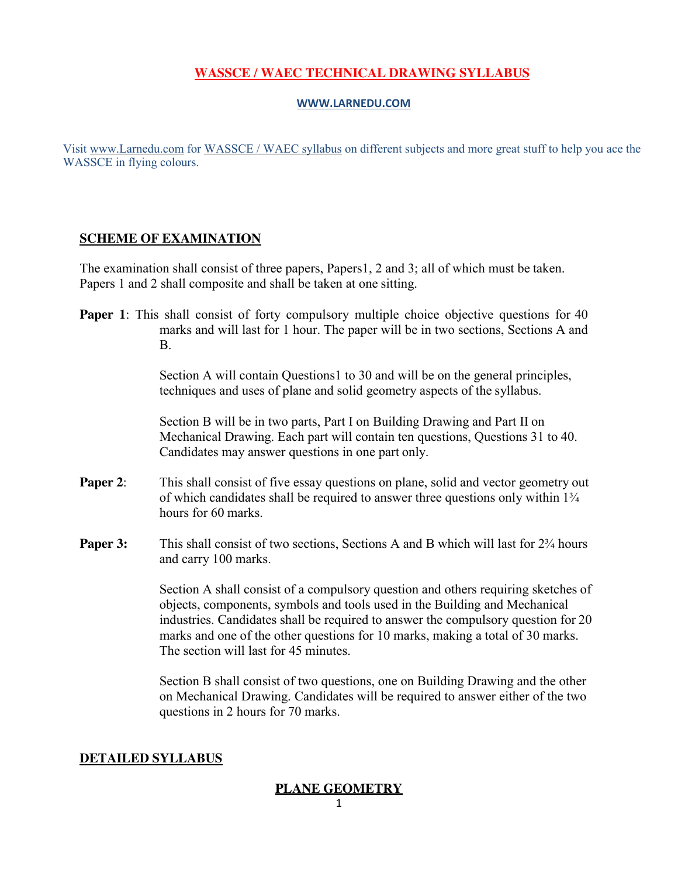## **[WASSCE / WAEC TECHNICAL](http://www.larnedu.com/wassce-waec-syllabus/) DRAWING SYLLABUS**

#### **[WWW.LARNEDU.COM](http://www.larnedu.com/)**

Visit [www.Larnedu.com](http://www.larnedu.com/) for [WASSCE / WAEC syllabus](http://www.larnedu.com/wassce-waec-syllabus/) on different subjects and more great stuff to help you ace the WASSCE in flying colours.

#### **SCHEME OF [EXAMINATION](http://www.larnedu.com/wassce-waec-syllabus/)**

The examination shall consist of three papers, Papers1, 2 and 3; all of which must be taken. Papers 1 and 2 shall composite and shall be taken at one sitting.

**Paper 1**: This shall consist of forty compulsory multiple choice objective questions for 40 marks and will last for 1 hour. The paper will be in two sections, Sections A and B.

> Section A will contain Questions1 to 30 and will be on the general principles, techniques and uses of plane and solid geometry aspects of the syllabus.

Section B will be in two parts, Part I on Building Drawing and Part II on Mechanical Drawing. Each part will contain ten questions, Questions 31 to 40. Candidates may answer questions in one part only.

- **Paper 2:** This shall consist of five essay questions on plane, solid and vector geometry out of which candidates shall be required to answer three questions only within 1¾ hours for 60 marks.
- **Paper 3:** This shall consist of two sections, Sections A and B which will last for  $2\frac{3}{4}$  hours and carry 100 marks.

Section A shall consist of a compulsory question and others requiring sketches of objects, components, symbols and tools used in the Building and Mechanical industries. Candidates shall be required to answer the compulsory question for 20 marks and one of the other questions for 10 marks, making a total of 30 marks. The section will last for 45 minutes.

Section B shall consist of two questions, one on Building Drawing and the other on Mechanical Drawing. Candidates will be required to answer either of the two questions in 2 hours for 70 marks.

#### **DETAILED [SYLLABUS](http://www.larnedu.com/wassce-waec-syllabus/)**

#### **PLANE GEOMETRY**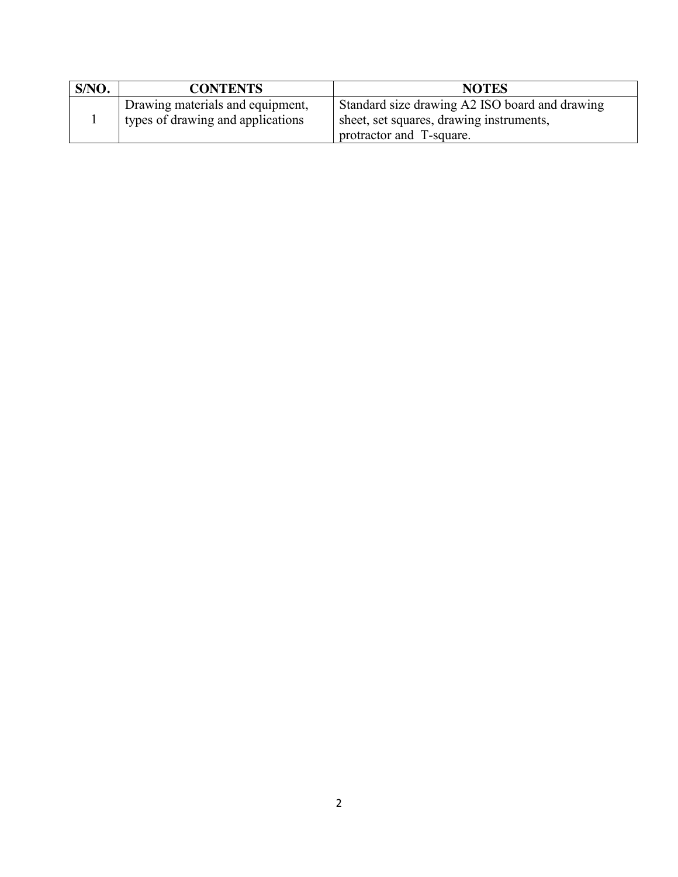| S/NO. | <b>CONTENTS</b>                                                       | <b>NOTES</b>                                                                                                           |
|-------|-----------------------------------------------------------------------|------------------------------------------------------------------------------------------------------------------------|
|       | Drawing materials and equipment,<br>types of drawing and applications | Standard size drawing A2 ISO board and drawing<br>sheet, set squares, drawing instruments,<br>protractor and T-square. |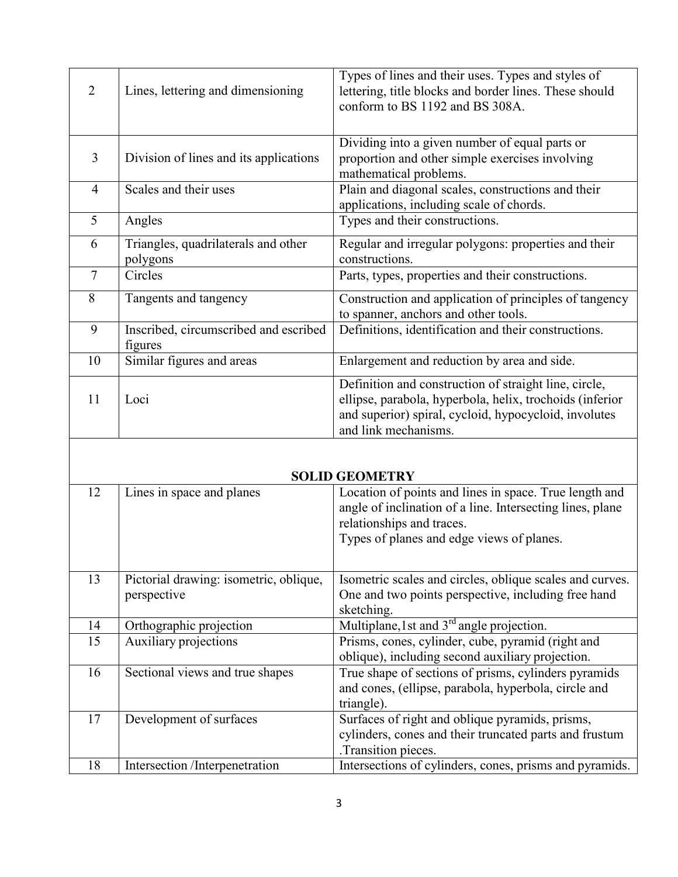| $\mathfrak{D}$ | Lines, lettering and dimensioning                | Types of lines and their uses. Types and styles of<br>lettering, title blocks and border lines. These should<br>conform to BS 1192 and BS 308A.                                                    |  |
|----------------|--------------------------------------------------|----------------------------------------------------------------------------------------------------------------------------------------------------------------------------------------------------|--|
| $\overline{3}$ | Division of lines and its applications           | Dividing into a given number of equal parts or<br>proportion and other simple exercises involving<br>mathematical problems.                                                                        |  |
| $\overline{4}$ | Scales and their uses                            | Plain and diagonal scales, constructions and their<br>applications, including scale of chords.                                                                                                     |  |
| 5              | Angles                                           | Types and their constructions.                                                                                                                                                                     |  |
| 6              | Triangles, quadrilaterals and other<br>polygons  | Regular and irregular polygons: properties and their<br>constructions.                                                                                                                             |  |
| $\overline{7}$ | Circles                                          | Parts, types, properties and their constructions.                                                                                                                                                  |  |
| 8              | Tangents and tangency                            | Construction and application of principles of tangency<br>to spanner, anchors and other tools.                                                                                                     |  |
| 9              | Inscribed, circumscribed and escribed<br>figures | Definitions, identification and their constructions.                                                                                                                                               |  |
| 10             | Similar figures and areas                        | Enlargement and reduction by area and side.                                                                                                                                                        |  |
| 11             | Loci                                             | Definition and construction of straight line, circle,<br>ellipse, parabola, hyperbola, helix, trochoids (inferior<br>and superior) spiral, cycloid, hypocycloid, involutes<br>and link mechanisms. |  |

# **SOLID GEOMETRY**

|    |                                                       | SOLIID OLOMLITAT                                                                                                                                                                              |
|----|-------------------------------------------------------|-----------------------------------------------------------------------------------------------------------------------------------------------------------------------------------------------|
| 12 | Lines in space and planes                             | Location of points and lines in space. True length and<br>angle of inclination of a line. Intersecting lines, plane<br>relationships and traces.<br>Types of planes and edge views of planes. |
| 13 | Pictorial drawing: isometric, oblique,<br>perspective | Isometric scales and circles, oblique scales and curves.<br>One and two points perspective, including free hand<br>sketching.                                                                 |
| 14 | Orthographic projection                               | Multiplane, 1 st and $3rd$ angle projection.                                                                                                                                                  |
| 15 | Auxiliary projections                                 | Prisms, cones, cylinder, cube, pyramid (right and<br>oblique), including second auxiliary projection.                                                                                         |
| 16 | Sectional views and true shapes                       | True shape of sections of prisms, cylinders pyramids<br>and cones, (ellipse, parabola, hyperbola, circle and<br>triangle).                                                                    |
| 17 | Development of surfaces                               | Surfaces of right and oblique pyramids, prisms,<br>cylinders, cones and their truncated parts and frustum<br>.Transition pieces.                                                              |
| 18 | Intersection /Interpenetration                        | Intersections of cylinders, cones, prisms and pyramids.                                                                                                                                       |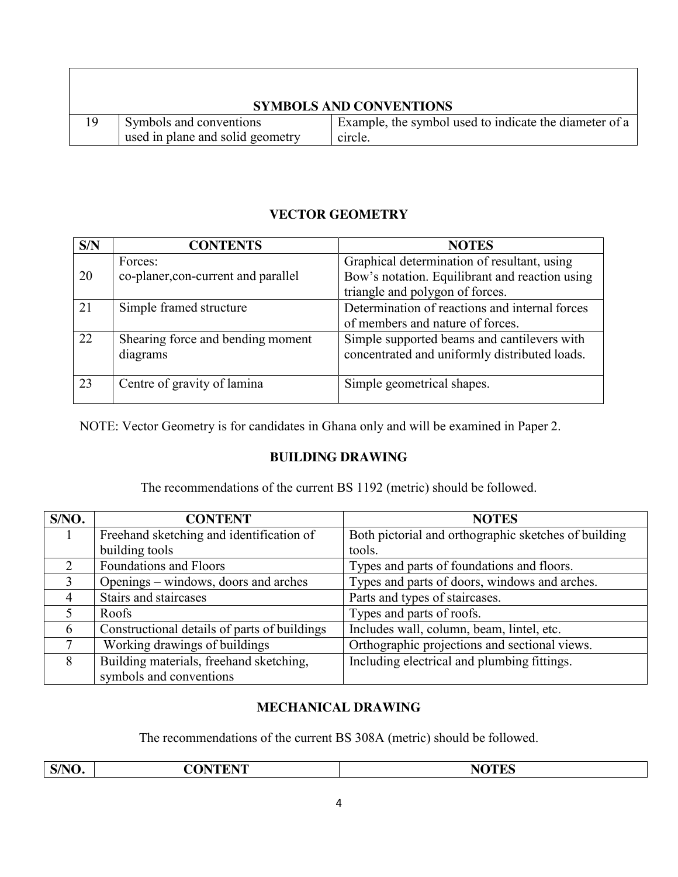| <b>SYMBOLS AND CONVENTIONS</b> |                                                             |                                                                   |  |
|--------------------------------|-------------------------------------------------------------|-------------------------------------------------------------------|--|
| 19                             | Symbols and conventions<br>used in plane and solid geometry | Example, the symbol used to indicate the diameter of a<br>circle. |  |

## **VECTOR GEOMETRY**

| S/N | <b>CONTENTS</b>                     | <b>NOTES</b>                                   |
|-----|-------------------------------------|------------------------------------------------|
|     | Forces:                             | Graphical determination of resultant, using    |
| 20  | co-planer, con-current and parallel | Bow's notation. Equilibrant and reaction using |
|     |                                     | triangle and polygon of forces.                |
| 21  | Simple framed structure             | Determination of reactions and internal forces |
|     |                                     | of members and nature of forces.               |
| 22  | Shearing force and bending moment   | Simple supported beams and cantilevers with    |
|     | diagrams                            | concentrated and uniformly distributed loads.  |
|     |                                     |                                                |
| 23  | Centre of gravity of lamina         | Simple geometrical shapes.                     |
|     |                                     |                                                |

NOTE: Vector Geometry is for candidates in Ghana only and will be examined in Paper 2.

#### **BUILDING DRAWING**

The recommendations of the current BS 1192 (metric) should be followed.

| S/NO.                       | <b>CONTENT</b>                               | <b>NOTES</b>                                         |  |
|-----------------------------|----------------------------------------------|------------------------------------------------------|--|
|                             | Freehand sketching and identification of     | Both pictorial and orthographic sketches of building |  |
|                             | building tools                               | tools.                                               |  |
| $\mathcal{D}_{\mathcal{L}}$ | <b>Foundations and Floors</b>                | Types and parts of foundations and floors.           |  |
| 3                           | Openings – windows, doors and arches         | Types and parts of doors, windows and arches.        |  |
| 4                           | Stairs and staircases                        | Parts and types of staircases.                       |  |
|                             | Roofs                                        | Types and parts of roofs.                            |  |
| 6                           | Constructional details of parts of buildings | Includes wall, column, beam, lintel, etc.            |  |
|                             | Working drawings of buildings                | Orthographic projections and sectional views.        |  |
| 8                           | Building materials, freehand sketching,      | Including electrical and plumbing fittings.          |  |
|                             | symbols and conventions                      |                                                      |  |

# **MECHANICAL DRAWING**

The recommendations of the current BS 308A (metric) should be followed.

|--|